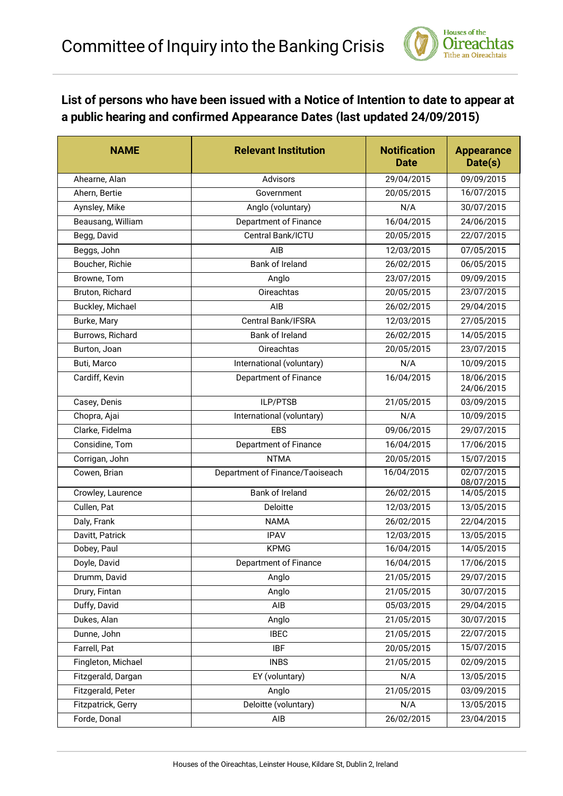

## **List of persons who have been issued with a Notice of Intention to date to appear at a public hearing and confirmed Appearance Dates (last updated 24/09/2015)**

| <b>NAME</b>        | <b>Relevant Institution</b>     | <b>Notification</b><br><b>Date</b> | <b>Appearance</b><br>Date(s) |
|--------------------|---------------------------------|------------------------------------|------------------------------|
| Ahearne, Alan      | Advisors                        | 29/04/2015                         | 09/09/2015                   |
| Ahern, Bertie      | Government                      | 20/05/2015                         | 16/07/2015                   |
| Aynsley, Mike      | Anglo (voluntary)               | N/A                                | 30/07/2015                   |
| Beausang, William  | Department of Finance           | 16/04/2015                         | 24/06/2015                   |
| Begg, David        | Central Bank/ICTU               | 20/05/2015                         | 22/07/2015                   |
| Beggs, John        | AIB.                            | 12/03/2015                         | 07/05/2015                   |
| Boucher, Richie    | Bank of Ireland                 | 26/02/2015                         | 06/05/2015                   |
| Browne, Tom        | Anglo                           | 23/07/2015                         | 09/09/2015                   |
| Bruton, Richard    | <b>Oireachtas</b>               | 20/05/2015                         | 23/07/2015                   |
| Buckley, Michael   | AIB                             | 26/02/2015                         | 29/04/2015                   |
| Burke, Mary        | Central Bank/IFSRA              | 12/03/2015                         | 27/05/2015                   |
| Burrows, Richard   | Bank of Ireland                 | 26/02/2015                         | 14/05/2015                   |
| Burton, Joan       | Oireachtas                      | 20/05/2015                         | 23/07/2015                   |
| Buti, Marco        | International (voluntary)       | N/A                                | 10/09/2015                   |
| Cardiff, Kevin     | Department of Finance           | 16/04/2015                         | 18/06/2015<br>24/06/2015     |
| Casey, Denis       | ILP/PTSB                        | 21/05/2015                         | 03/09/2015                   |
| Chopra, Ajai       | International (voluntary)       | N/A                                | 10/09/2015                   |
| Clarke, Fidelma    | <b>EBS</b>                      | 09/06/2015                         | 29/07/2015                   |
| Considine, Tom     | Department of Finance           | 16/04/2015                         | 17/06/2015                   |
| Corrigan, John     | <b>NTMA</b>                     | 20/05/2015                         | 15/07/2015                   |
| Cowen, Brian       | Department of Finance/Taoiseach | 16/04/2015                         | 02/07/2015<br>08/07/2015     |
| Crowley, Laurence  | Bank of Ireland                 | 26/02/2015                         | 14/05/2015                   |
| Cullen, Pat        | Deloitte                        | 12/03/2015                         | 13/05/2015                   |
| Daly, Frank        | <b>NAMA</b>                     | 26/02/2015                         | 22/04/2015                   |
| Davitt, Patrick    | <b>IPAV</b>                     | 12/03/2015                         | 13/05/2015                   |
| Dobey, Paul        | <b>KPMG</b>                     | 16/04/2015                         | 14/05/2015                   |
| Doyle, David       | Department of Finance           | 16/04/2015                         | 17/06/2015                   |
| Drumm, David       | Anglo                           | 21/05/2015                         | 29/07/2015                   |
| Drury, Fintan      | Anglo                           | 21/05/2015                         | 30/07/2015                   |
| Duffy, David       | AIB                             | 05/03/2015                         | 29/04/2015                   |
| Dukes, Alan        | Anglo                           | 21/05/2015                         | 30/07/2015                   |
| Dunne, John        | <b>IBEC</b>                     | 21/05/2015                         | 22/07/2015                   |
| Farrell, Pat       | <b>IBF</b>                      | 20/05/2015                         | 15/07/2015                   |
| Fingleton, Michael | <b>INBS</b>                     | 21/05/2015                         | 02/09/2015                   |
| Fitzgerald, Dargan | EY (voluntary)                  | N/A                                | 13/05/2015                   |
| Fitzgerald, Peter  | Anglo                           | 21/05/2015                         | 03/09/2015                   |
| Fitzpatrick, Gerry | Deloitte (voluntary)            | N/A                                | 13/05/2015                   |
| Forde, Donal       | AIB                             | 26/02/2015                         | 23/04/2015                   |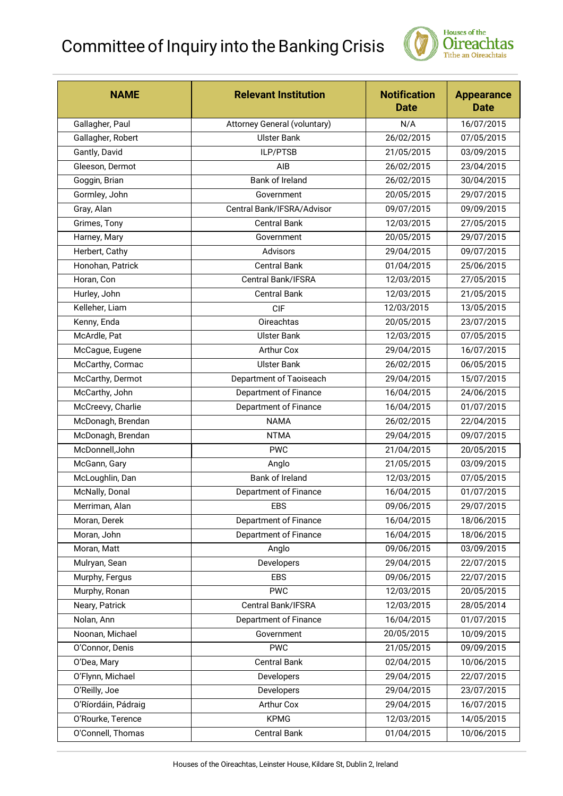## Committee of Inquiry into the Banking Crisis



| <b>NAME</b>         | <b>Relevant Institution</b>         | <b>Notification</b><br><b>Date</b> | <b>Appearance</b><br><b>Date</b> |
|---------------------|-------------------------------------|------------------------------------|----------------------------------|
| Gallagher, Paul     | <b>Attorney General (voluntary)</b> | N/A                                | 16/07/2015                       |
| Gallagher, Robert   | <b>Ulster Bank</b>                  | 26/02/2015                         | 07/05/2015                       |
| Gantly, David       | ILP/PTSB                            | 21/05/2015                         | 03/09/2015                       |
| Gleeson, Dermot     | AIB                                 | 26/02/2015                         | 23/04/2015                       |
| Goggin, Brian       | Bank of Ireland                     | 26/02/2015                         | 30/04/2015                       |
| Gormley, John       | Government                          | 20/05/2015                         | 29/07/2015                       |
| Gray, Alan          | Central Bank/IFSRA/Advisor          | 09/07/2015                         | 09/09/2015                       |
| Grimes, Tony        | <b>Central Bank</b>                 | 12/03/2015                         | 27/05/2015                       |
| Harney, Mary        | Government                          | 20/05/2015                         | 29/07/2015                       |
| Herbert, Cathy      | Advisors                            | 29/04/2015                         | 09/07/2015                       |
| Honohan, Patrick    | <b>Central Bank</b>                 | 01/04/2015                         | 25/06/2015                       |
| Horan, Con          | Central Bank/IFSRA                  | 12/03/2015                         | 27/05/2015                       |
| Hurley, John        | <b>Central Bank</b>                 | 12/03/2015                         | 21/05/2015                       |
| Kelleher, Liam      | CIF                                 | 12/03/2015                         | 13/05/2015                       |
| Kenny, Enda         | Oireachtas                          | 20/05/2015                         | 23/07/2015                       |
| McArdle, Pat        | <b>Ulster Bank</b>                  | 12/03/2015                         | 07/05/2015                       |
| McCague, Eugene     | <b>Arthur Cox</b>                   | 29/04/2015                         | 16/07/2015                       |
| McCarthy, Cormac    | <b>Ulster Bank</b>                  | 26/02/2015                         | 06/05/2015                       |
| McCarthy, Dermot    | Department of Taoiseach             | 29/04/2015                         | 15/07/2015                       |
| McCarthy, John      | Department of Finance               | 16/04/2015                         | 24/06/2015                       |
| McCreevy, Charlie   | Department of Finance               | 16/04/2015                         | 01/07/2015                       |
| McDonagh, Brendan   | <b>NAMA</b>                         | 26/02/2015                         | 22/04/2015                       |
| McDonagh, Brendan   | <b>NTMA</b>                         | 29/04/2015                         | 09/07/2015                       |
| McDonnell, John     | <b>PWC</b>                          | 21/04/2015                         | 20/05/2015                       |
| McGann, Gary        | Anglo                               | 21/05/2015                         | 03/09/2015                       |
| McLoughlin, Dan     | Bank of Ireland                     | 12/03/2015                         | 07/05/2015                       |
| McNally, Donal      | Department of Finance               | 16/04/2015                         | 01/07/2015                       |
| Merriman, Alan      | <b>EBS</b>                          | 09/06/2015                         | 29/07/2015                       |
| Moran, Derek        | Department of Finance               | 16/04/2015                         | 18/06/2015                       |
| Moran, John         | Department of Finance               | 16/04/2015                         | 18/06/2015                       |
| Moran, Matt         | Anglo                               | 09/06/2015                         | 03/09/2015                       |
| Mulryan, Sean       | Developers                          | 29/04/2015                         | 22/07/2015                       |
| Murphy, Fergus      | <b>EBS</b>                          | 09/06/2015                         | 22/07/2015                       |
| Murphy, Ronan       | <b>PWC</b>                          | 12/03/2015                         | 20/05/2015                       |
| Neary, Patrick      | Central Bank/IFSRA                  | 12/03/2015                         | 28/05/2014                       |
| Nolan, Ann          | Department of Finance               | 16/04/2015                         | 01/07/2015                       |
| Noonan, Michael     | Government                          | 20/05/2015                         | 10/09/2015                       |
| O'Connor, Denis     | <b>PWC</b>                          | 21/05/2015                         | 09/09/2015                       |
| O'Dea, Mary         | <b>Central Bank</b>                 | 02/04/2015                         | 10/06/2015                       |
| O'Flynn, Michael    | Developers                          | 29/04/2015                         | 22/07/2015                       |
| O'Reilly, Joe       | Developers                          | 29/04/2015                         | 23/07/2015                       |
| O'Ríordáin, Pádraig | <b>Arthur Cox</b>                   | 29/04/2015                         | 16/07/2015                       |
| O'Rourke, Terence   | <b>KPMG</b>                         | 12/03/2015                         | 14/05/2015                       |
| O'Connell, Thomas   | <b>Central Bank</b>                 | 01/04/2015                         | 10/06/2015                       |